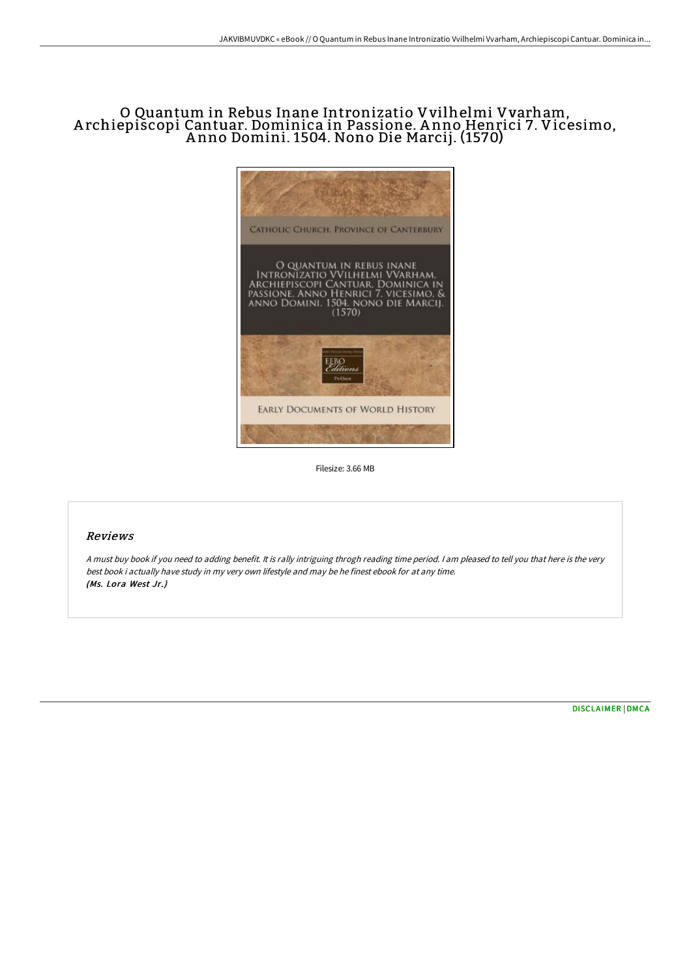# O Quantum in Rebus Inane Intronizatio Vvilhelmi Vvarham, A rchiepiscopi Cantuar. Dominica in Passione. A nno Henrici 7. Vicesimo, A nno Domini. 1504. Nono Die Marcij. (1570)



Filesize: 3.66 MB

## Reviews

<sup>A</sup> must buy book if you need to adding benefit. It is rally intriguing throgh reading time period. <sup>I</sup> am pleased to tell you that here is the very best book i actually have study in my very own lifestyle and may be he finest ebook for at any time. (Ms. Lora West Jr.)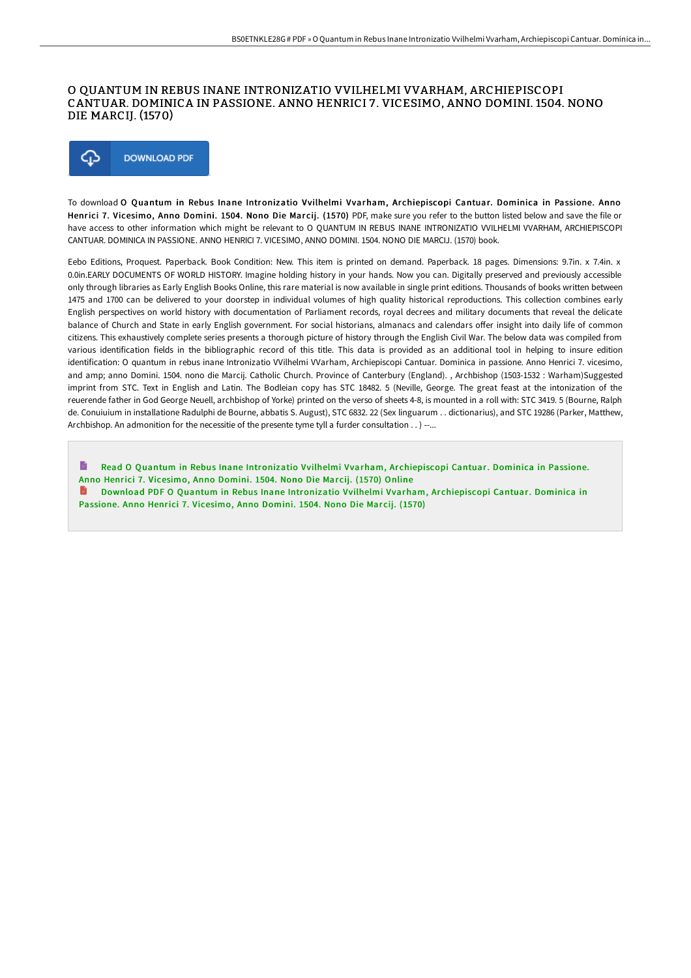## O QUANTUM IN REBUS INANE INTRONIZATIO VVILHELMI VVARHAM, ARCHIEPISCOPI CANTUAR. DOMINICA IN PASSIONE. ANNO HENRICI 7 . VICESIMO, ANNO DOMINI. 1504. NONO DIE MARCIJ. (1570)



To download O Quantum in Rebus Inane Intronizatio Vvilhelmi Vvarham, Archiepiscopi Cantuar. Dominica in Passione. Anno Henrici 7. Vicesimo, Anno Domini. 1504. Nono Die Marcij. (1570) PDF, make sure you refer to the button listed below and save the file or have access to other information which might be relevant to O QUANTUM IN REBUS INANE INTRONIZATIO VVILHELMI VVARHAM, ARCHIEPISCOPI CANTUAR. DOMINICA IN PASSIONE. ANNO HENRICI 7. VICESIMO, ANNO DOMINI. 1504. NONO DIE MARCIJ. (1570) book.

Eebo Editions, Proquest. Paperback. Book Condition: New. This item is printed on demand. Paperback. 18 pages. Dimensions: 9.7in. x 7.4in. x 0.0in.EARLY DOCUMENTS OF WORLD HISTORY. Imagine holding history in your hands. Now you can. Digitally preserved and previously accessible only through libraries as Early English Books Online, this rare material is now available in single print editions. Thousands of books written between 1475 and 1700 can be delivered to your doorstep in individual volumes of high quality historical reproductions. This collection combines early English perspectives on world history with documentation of Parliament records, royal decrees and military documents that reveal the delicate balance of Church and State in early English government. For social historians, almanacs and calendars offer insight into daily life of common citizens. This exhaustively complete series presents a thorough picture of history through the English Civil War. The below data was compiled from various identification fields in the bibliographic record of this title. This data is provided as an additional tool in helping to insure edition identification: O quantum in rebus inane Intronizatio VVilhelmi VVarham, Archiepiscopi Cantuar. Dominica in passione. Anno Henrici 7. vicesimo, and amp; anno Domini. 1504. nono die Marcij. Catholic Church. Province of Canterbury (England). , Archbishop (1503-1532 : Warham)Suggested imprint from STC. Text in English and Latin. The Bodleian copy has STC 18482. 5 (Neville, George. The great feast at the intonization of the reuerende father in God George Neuell, archbishop of Yorke) printed on the verso of sheets 4-8, is mounted in a roll with: STC 3419. 5 (Bourne, Ralph de. Conuiuium in installatione Radulphi de Bourne, abbatis S. August), STC 6832. 22 (Sex linguarum . . dictionarius), and STC 19286 (Parker, Matthew, Archbishop. An admonition for the necessitie of the presente tyme tyll a furder consultation . . ) --...

Read O Quantum in Rebus Inane [Intronizatio](http://techno-pub.tech/o-quantum-in-rebus-inane-intronizatio-vvilhelmi-.html) Vvilhelmi Vvarham, Ar chiepiscopi Cantuar. Dominica in Passione. Anno Henrici 7. Vicesimo, Anno Domini. 1504. Nono Die Marcij. (1570) Online

H Download PDF O Quantum in Rebus Inane [Intronizatio](http://techno-pub.tech/o-quantum-in-rebus-inane-intronizatio-vvilhelmi-.html) Vvilhelmi Vvarham, Archiepiscopi Cantuar. Dominica in Passione. Anno Henrici 7. Vicesimo, Anno Domini. 1504. Nono Die Marcij. (1570)